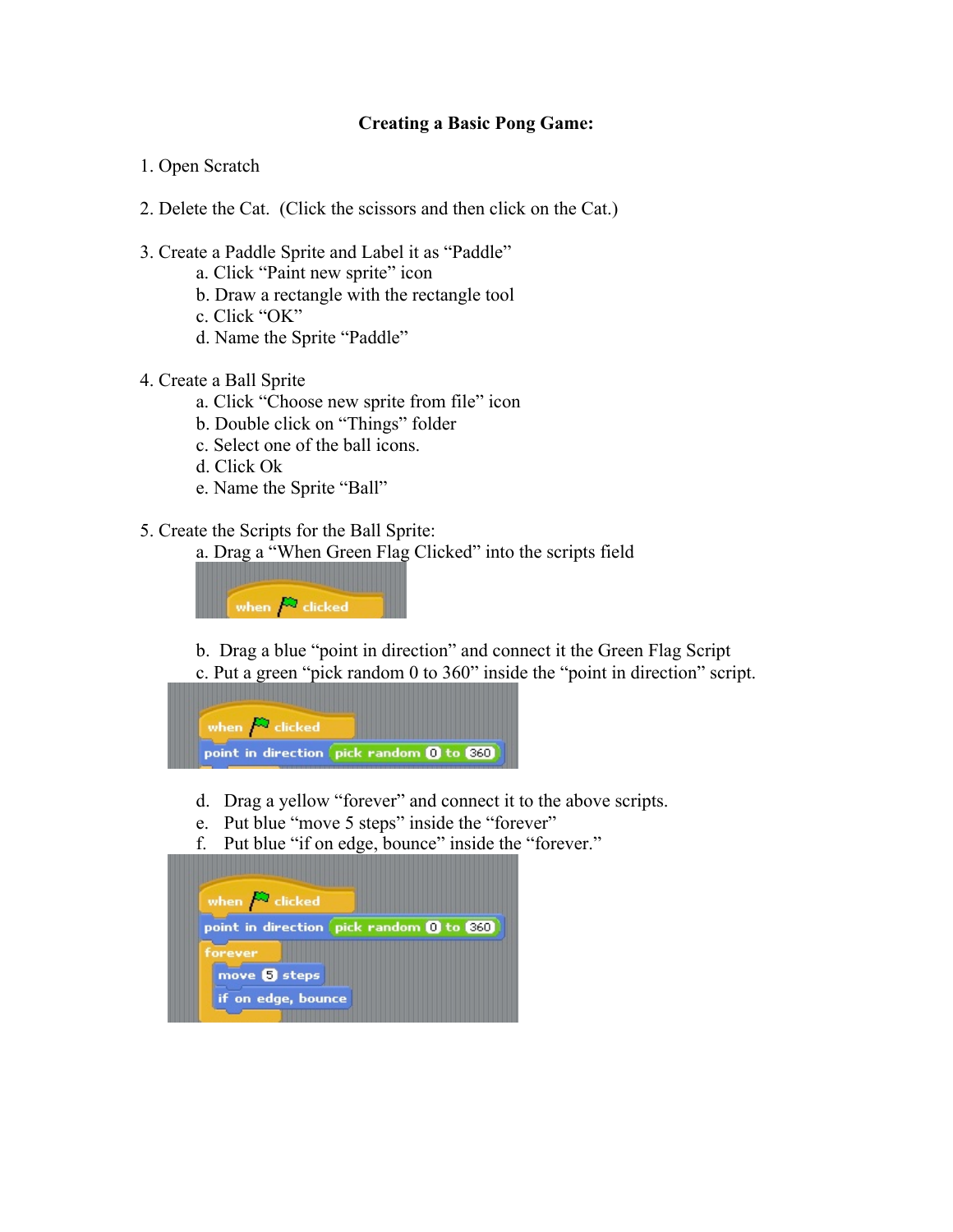## Creating a Basic Pong Game:

- 1. Open Scratch
- 2. Delete the Cat. (Click the scissors and then click on the Cat.)
- 3. Create a Paddle Sprite and Label it as "Paddle"
	- a. Click "Paint new sprite" icon
	- b. Draw a rectangle with the rectangle tool
	- c. Click "OK"
	- d. Name the Sprite "Paddle"
- 4. Create a Ball Sprite
	- a. Click "Choose new sprite from file" icon
	- b. Double click on "Things" folder
	- c. Select one of the ball icons.
	- d. Click Ok
	- e. Name the Sprite "Ball"
- 5. Create the Scripts for the Ball Sprite:
	- a. Drag a "When Green Flag Clicked" into the scripts field



- b. Drag a blue "point in direction" and connect it the Green Flag Script
- c. Put a green "pick random 0 to 360" inside the "point in direction" script.



- d. Drag a yellow "forever" and connect it to the above scripts.
- e. Put blue "move 5 steps" inside the "forever"
- f. Put blue "if on edge, bounce" inside the "forever."

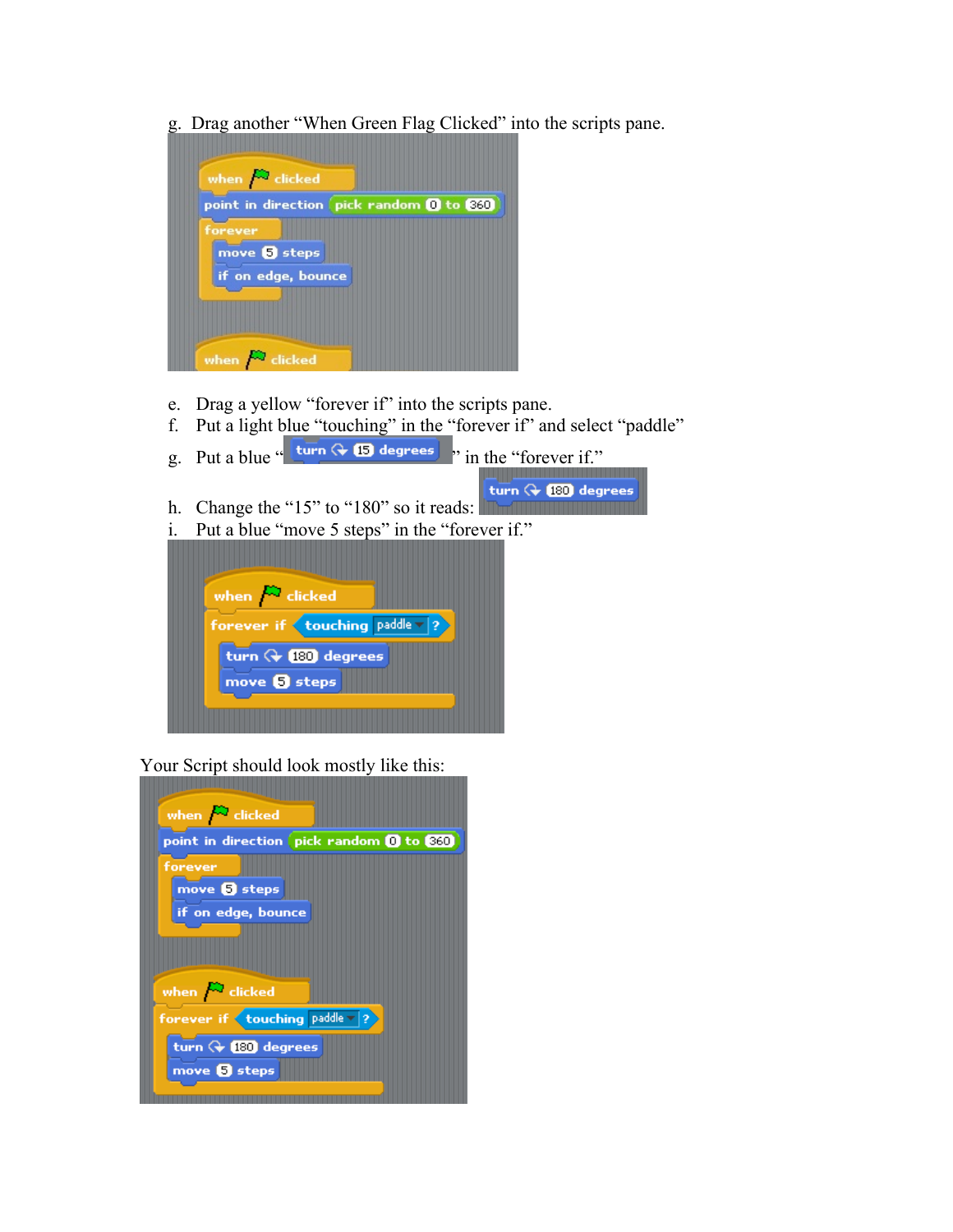g. Drag another "When Green Flag Clicked" into the scripts pane.



- e. Drag a yellow "forever if" into the scripts pane.
- f. Put a light blue "touching" in the "forever if" and select "paddle"
- g. Put a blue "  $\tan \theta$  (5) degrees  $\sin$  the "forever if." turn  $\leftarrow$  180 degrees h. Change the "15" to "180" so it reads: i. Put a blue "move 5 steps" in the "forever if." when  $\bigtriangleup$  clicked forever if  $\left($  touching  $\left| \text{paddle} \right| \right|$ ? turn  $Q$  (180) degrees move **b** steps

Your Script should look mostly like this: